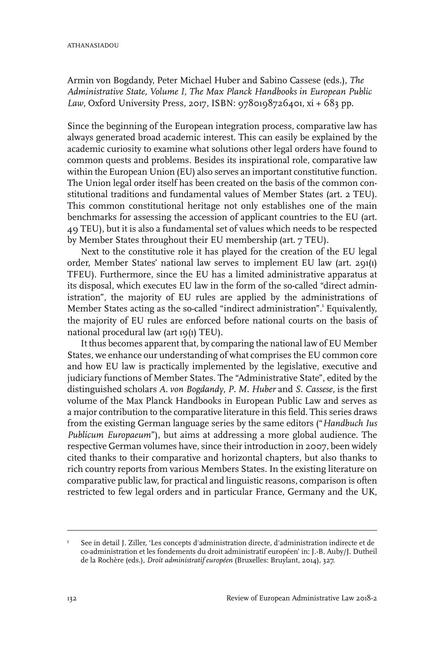Armin von Bogdandy, Peter Michael Huber and Sabino Cassese (eds.), *The Administrative State, Volume I, The Max Planck Handbooks in European Public Law*, Oxford University Press, 2017, ISBN: 9780198726401, xi + 683 pp.

Since the beginning of the European integration process, comparative law has always generated broad academic interest. This can easily be explained by the academic curiosity to examine what solutions other legal orders have found to common quests and problems. Besides its inspirational role, comparative law within the European Union (EU) also serves an important constitutive function. The Union legal order itself has been created on the basis of the common constitutional traditions and fundamental values of Member States (art. 2 TEU). This common constitutional heritage not only establishes one of the main benchmarks for assessing the accession of applicant countries to the EU (art. 49 TEU), but it is also a fundamental set of values which needs to be respected by Member States throughout their EU membership (art. 7 TEU).

Next to the constitutive role it has played for the creation of the EU legal order, Member States' national law serves to implement EU law (art. 291(1) TFEU). Furthermore, since the EU has a limited administrative apparatus at its disposal, which executes EU law in the form of the so-called "direct administration", the majority of EU rules are applied by the administrations of Member States acting as the so-called "indirect administration".<sup>1</sup> Equivalently, the majority of EU rules are enforced before national courts on the basis of national procedural law (art 19(1) TEU).

It thus becomes apparent that, by comparing the national law of EU Member States, we enhance our understanding of what comprises the EU common core and how EU law is practically implemented by the legislative, executive and judiciary functions of Member States. The "Administrative State", edited by the distinguished scholars *A. von Bogdandy*, *P. M. Huber* and *S. Cassese*, is the first volume of the Max Planck Handbooks in European Public Law and serves as a major contribution to the comparative literature in this field. This series draws from the existing German language series by the same editors ("*Handbuch Ius Publicum Europaeum*"), but aims at addressing a more global audience. The respective German volumes have, since their introduction in 2007, been widely cited thanks to their comparative and horizontal chapters, but also thanks to rich country reports from various Members States. In the existing literature on comparative public law, for practical and linguistic reasons, comparison is often restricted to few legal orders and in particular France, Germany and the UK,

See in detail J. Ziller, 'Les concepts d'administration directe, d'administration indirecte et de co-administration et les fondements du droit administratif européen' in: J.-B. Auby/J. Dutheil de la Rochère (eds.), *Droit administratif européen* (Bruxelles: Bruylant, 2014), 327. 1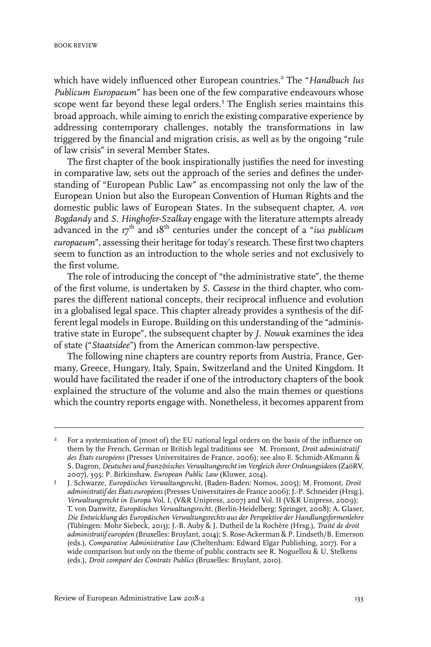which have widely influenced other European countries.<sup>2</sup> The "*Handbuch Ius Publicum Europaeum*" has been one of the few comparative endeavours whose scope went far beyond these legal orders.<sup>3</sup> The English series maintains this broad approach, while aiming to enrich the existing comparative experience by addressing contemporary challenges, notably the transformations in law triggered by the financial and migration crisis, as well as by the ongoing "rule of law crisis" in several Member States.

The first chapter of the book inspirationally justifies the need for investing in comparative law, sets out the approach of the series and defines the understanding of "European Public Law" as encompassing not only the law of the European Union but also the European Convention of Human Rights and the domestic public laws of European States. In the subsequent chapter, *A. von Bogdandy* and *S. Hinghofer-Szalkay* engage with the literature attempts already advanced in the 17<sup>th</sup> and 18<sup>th</sup> centuries under the concept of a "*ius publicum* europaeum", assessing their heritage for today's research. These first two chapters seem to function as an introduction to the whole series and not exclusively to the first volume.

The role of introducing the concept of "the administrative state", the theme of the first volume, is undertaken by *S. Cassese* in the third chapter, who compares the different national concepts, their reciprocal influence and evolution in a globalised legal space. This chapter already provides a synthesis of the different legal models in Europe. Building on this understanding of the "administrative state in Europe", the subsequent chapter by *J. Nowak* examines the idea of state ("*Staatsidee*") from the American common-law perspective.

The following nine chapters are country reports from Austria, France, Germany, Greece, Hungary, Italy, Spain, Switzerland and the United Kingdom. It would have facilitated the reader if one of the introductory chapters of the book explained the structure of the volume and also the main themes or questions which the country reports engage with. Nonetheless, it becomes apparent from

For a systemisation of (most of) the EU national legal orders on the basis of the influence on them by the French, German or British legal traditions see M. Fromont, *Droit administratif* 2 *des États européens* (Presses Universitaires de France, 2006); see also E. Schmidt-Aßmann & S. Dagron, *Deutsches und französisches Verwaltungsrecht im Vergleich ihrer Ordnungsideen* (ZaöRV, 2007), 395; P. Birkinshaw, *European Public Law* (Kluwer, 2014).

J. Schwarze, *Europäisches Verwaltungsrecht*, (Baden-Baden: Nomos, 2005); M. Fromont, *Droit administratif des Étatseuropéens* (Presses Universitaires de France 2006); J.-P. Schneider(Hrsg.), 3 *Verwaltungsrecht in Europa* Vol.I, (V&R Unipress, 2007) and Vol.II(V&R Unipress, 2009); T. von Danwitz, *Europäisches Verwaltungsrecht*, (Berlin-Heidelberg: Springer, 2008); A. Glaser, *Die Entwicklung des Europäischen Verwaltungsrechts aus der Perspektive der Handlungsformenlehre* (Tübingen: Mohr Siebeck, 2013); J.-B. Auby & J. Dutheil de la Rochère (Hrsg.), *Traité de droit administratif européen* (Bruxelles: Bruylant, 2014); S. Rose-Ackerman & P. Lindseth/B. Emerson (eds.), *Comparative Administrative Law* (Cheltenham: Edward Elgar Publishing, 2017). For a wide comparison but only on the theme of public contracts see R. Noguellou & U. Stelkens (eds.), *Droit comparé des Contrats Publics* (Bruxelles: Bruylant, 2010).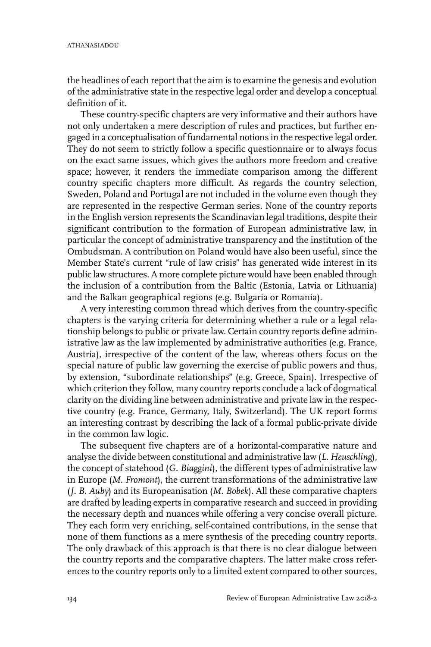the headlines of each report that the aim is to examine the genesis and evolution of the administrative state in the respective legal order and develop a conceptual definition of it.

These country-specific chapters are very informative and their authors have not only undertaken a mere description of rules and practices, but further engaged in a conceptualisation of fundamental notions in the respective legal order. They do not seem to strictly follow a specific questionnaire or to always focus on the exact same issues, which gives the authors more freedom and creative space; however, it renders the immediate comparison among the different country specific chapters more difficult. As regards the country selection, Sweden, Poland and Portugal are not included in the volume even though they are represented in the respective German series. None of the country reports in the English version represents the Scandinavian legal traditions, despite their significant contribution to the formation of European administrative law, in particular the concept of administrative transparency and the institution of the Ombudsman. A contribution on Poland would have also been useful, since the Member State's current "rule of law crisis" has generated wide interest in its public law structures. A more complete picture would have been enabled through the inclusion of a contribution from the Baltic (Estonia, Latvia or Lithuania) and the Balkan geographical regions (e.g. Bulgaria or Romania).

A very interesting common thread which derives from the country-specific chapters is the varying criteria for determining whether a rule or a legal relationship belongs to public or private law. Certain country reports define administrative law as the law implemented by administrative authorities (e.g. France, Austria), irrespective of the content of the law, whereas others focus on the special nature of public law governing the exercise of public powers and thus, by extension, "subordinate relationships" (e.g. Greece, Spain). Irrespective of which criterion they follow, many country reports conclude a lack of dogmatical clarity on the dividing line between administrative and private law in the respective country (e.g. France, Germany, Italy, Switzerland). The UK report forms an interesting contrast by describing the lack of a formal public-private divide in the common law logic.

The subsequent five chapters are of a horizontal-comparative nature and analyse the divide between constitutional and administrative law (*L. Heuschling*), the concept of statehood (*G. Biaggini*), the different types of administrative law in Europe (*M. Fromont*), the current transformations of the administrative law (*J. B. Auby*) and its Europeanisation (*M. Bobek*). All these comparative chapters are drafted by leading experts in comparative research and succeed in providing the necessary depth and nuances while offering a very concise overall picture. They each form very enriching, self-contained contributions, in the sense that none of them functions as a mere synthesis of the preceding country reports. The only drawback of this approach is that there is no clear dialogue between the country reports and the comparative chapters. The latter make cross references to the country reports only to a limited extent compared to other sources,